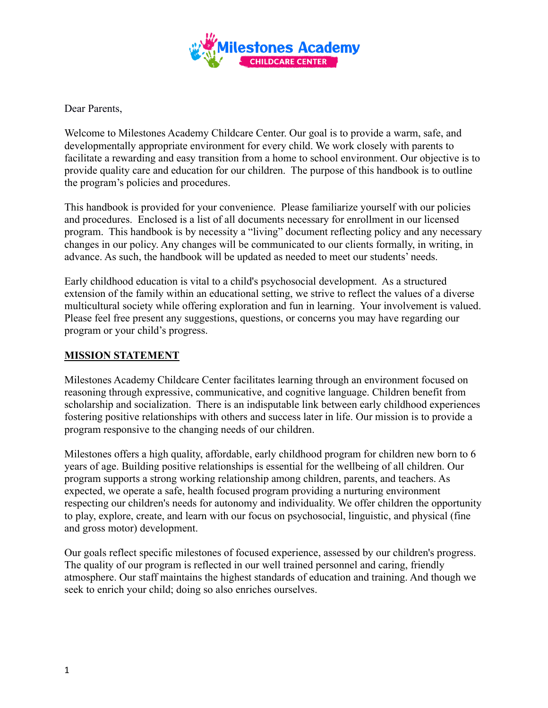

Dear Parents,

Welcome to Milestones Academy Childcare Center. Our goal is to provide a warm, safe, and developmentally appropriate environment for every child. We work closely with parents to facilitate a rewarding and easy transition from a home to school environment. Our objective is to provide quality care and education for our children. The purpose of this handbook is to outline the program's policies and procedures.

This handbook is provided for your convenience. Please familiarize yourself with our policies and procedures. Enclosed is a list of all documents necessary for enrollment in our licensed program. This handbook is by necessity a "living" document reflecting policy and any necessary changes in our policy. Any changes will be communicated to our clients formally, in writing, in advance. As such, the handbook will be updated as needed to meet our students' needs.

Early childhood education is vital to a child's psychosocial development. As a structured extension of the family within an educational setting, we strive to reflect the values of a diverse multicultural society while offering exploration and fun in learning. Your involvement is valued. Please feel free present any suggestions, questions, or concerns you may have regarding our program or your child's progress.

## **MISSION STATEMENT**

Milestones Academy Childcare Center facilitates learning through an environment focused on reasoning through expressive, communicative, and cognitive language. Children benefit from scholarship and socialization. There is an indisputable link between early childhood experiences fostering positive relationships with others and success later in life. Our mission is to provide a program responsive to the changing needs of our children.

Milestones offers a high quality, affordable, early childhood program for children new born to 6 years of age. Building positive relationships is essential for the wellbeing of all children. Our program supports a strong working relationship among children, parents, and teachers. As expected, we operate a safe, health focused program providing a nurturing environment respecting our children's needs for autonomy and individuality. We offer children the opportunity to play, explore, create, and learn with our focus on psychosocial, linguistic, and physical (fine and gross motor) development.

Our goals reflect specific milestones of focused experience, assessed by our children's progress. The quality of our program is reflected in our well trained personnel and caring, friendly atmosphere. Our staff maintains the highest standards of education and training. And though we seek to enrich your child; doing so also enriches ourselves.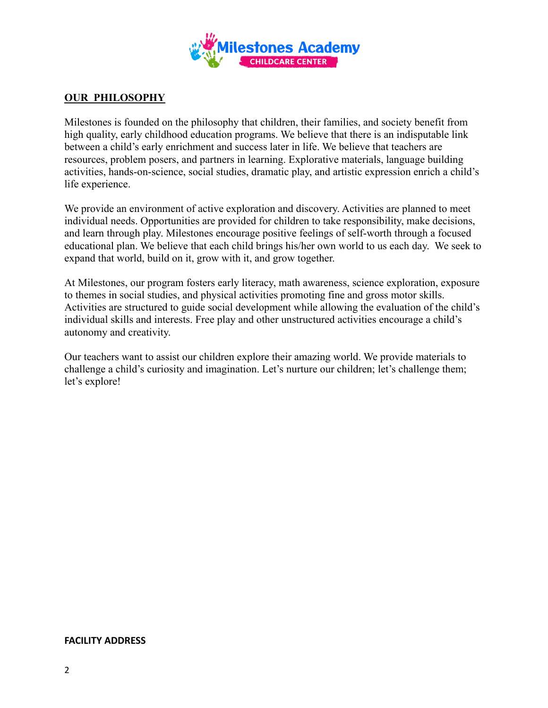

## **OUR PHILOSOPHY**

Milestones is founded on the philosophy that children, their families, and society benefit from high quality, early childhood education programs. We believe that there is an indisputable link between a child's early enrichment and success later in life. We believe that teachers are resources, problem posers, and partners in learning. Explorative materials, language building activities, hands-on-science, social studies, dramatic play, and artistic expression enrich a child's life experience.

We provide an environment of active exploration and discovery. Activities are planned to meet individual needs. Opportunities are provided for children to take responsibility, make decisions, and learn through play. Milestones encourage positive feelings of self-worth through a focused educational plan. We believe that each child brings his/her own world to us each day. We seek to expand that world, build on it, grow with it, and grow together.

At Milestones, our program fosters early literacy, math awareness, science exploration, exposure to themes in social studies, and physical activities promoting fine and gross motor skills. Activities are structured to guide social development while allowing the evaluation of the child's individual skills and interests. Free play and other unstructured activities encourage a child's autonomy and creativity.

Our teachers want to assist our children explore their amazing world. We provide materials to challenge a child's curiosity and imagination. Let's nurture our children; let's challenge them; let's explore!

#### **FACILITY ADDRESS**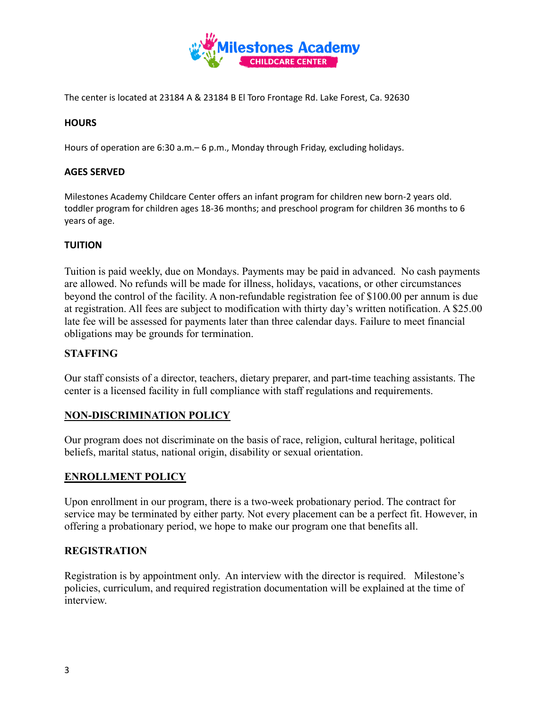

The center is located at 23184 A & 23184 B El Toro Frontage Rd. Lake Forest, Ca. 92630

### **HOURS**

Hours of operation are 6:30 a.m.– 6 p.m., Monday through Friday, excluding holidays.

### **AGES SERVED**

Milestones Academy Childcare Center offers an infant program for children new born-2 years old. toddler program for children ages 18-36 months; and preschool program for children 36 months to 6 years of age.

### **TUITION**

Tuition is paid weekly, due on Mondays. Payments may be paid in advanced. No cash payments are allowed. No refunds will be made for illness, holidays, vacations, or other circumstances beyond the control of the facility. A non-refundable registration fee of \$100.00 per annum is due at registration. All fees are subject to modification with thirty day's written notification. A \$25.00 late fee will be assessed for payments later than three calendar days. Failure to meet financial obligations may be grounds for termination.

### **STAFFING**

Our staff consists of a director, teachers, dietary preparer, and part-time teaching assistants. The center is a licensed facility in full compliance with staff regulations and requirements.

## **NON-DISCRIMINATION POLICY**

Our program does not discriminate on the basis of race, religion, cultural heritage, political beliefs, marital status, national origin, disability or sexual orientation.

### **ENROLLMENT POLICY**

Upon enrollment in our program, there is a two-week probationary period. The contract for service may be terminated by either party. Not every placement can be a perfect fit. However, in offering a probationary period, we hope to make our program one that benefits all.

### **REGISTRATION**

Registration is by appointment only. An interview with the director is required. Milestone's policies, curriculum, and required registration documentation will be explained at the time of interview.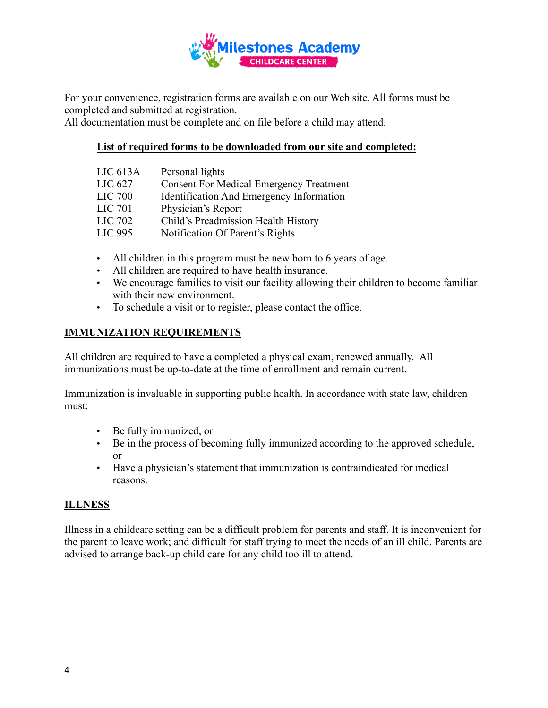

For your convenience, registration forms are available on our Web site. All forms must be completed and submitted at registration.

All documentation must be complete and on file before a child may attend.

## **List of required forms to be downloaded from our site and completed:**

| LIC 613A       | Personal lights                                |
|----------------|------------------------------------------------|
| LIC 627        | <b>Consent For Medical Emergency Treatment</b> |
| <b>LIC 700</b> | Identification And Emergency Information       |
| <b>LIC 701</b> | Physician's Report                             |
| LIC 702        | Child's Preadmission Health History            |
| LIC 995        | Notification Of Parent's Rights                |
|                |                                                |

- All children in this program must be new born to 6 years of age.
- All children are required to have health insurance.
- We encourage families to visit our facility allowing their children to become familiar with their new environment.
- To schedule a visit or to register, please contact the office.

## **IMMUNIZATION REQUIREMENTS**

All children are required to have a completed a physical exam, renewed annually. All immunizations must be up-to-date at the time of enrollment and remain current.

Immunization is invaluable in supporting public health. In accordance with state law, children must:

- Be fully immunized, or
- Be in the process of becoming fully immunized according to the approved schedule, or
- Have a physician's statement that immunization is contraindicated for medical reasons.

# **ILLNESS**

Illness in a childcare setting can be a difficult problem for parents and staff. It is inconvenient for the parent to leave work; and difficult for staff trying to meet the needs of an ill child. Parents are advised to arrange back-up child care for any child too ill to attend.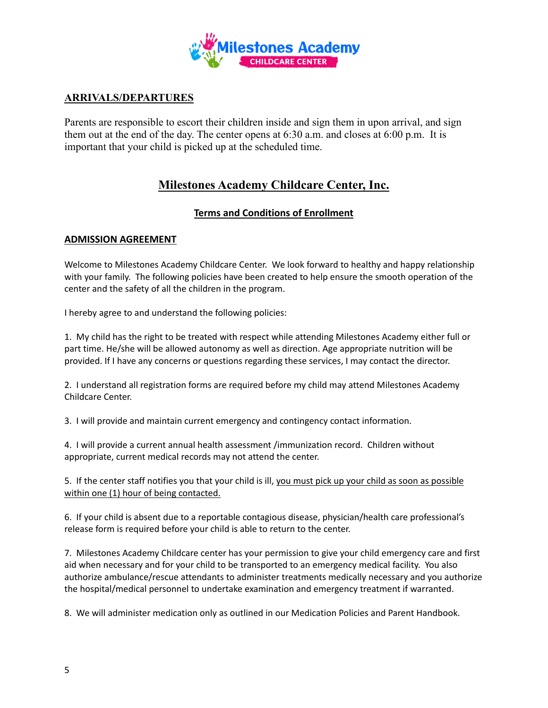

# **ARRIVALS/DEPARTURES**

Parents are responsible to escort their children inside and sign them in upon arrival, and sign them out at the end of the day. The center opens at 6:30 a.m. and closes at 6:00 p.m. It is important that your child is picked up at the scheduled time.

# **Milestones Academy Childcare Center, Inc.**

## **Terms and Conditions of Enrollment**

### **ADMISSION AGREEMENT**

Welcome to Milestones Academy Childcare Center. We look forward to healthy and happy relationship with your family. The following policies have been created to help ensure the smooth operation of the center and the safety of all the children in the program.

I hereby agree to and understand the following policies:

1. My child has the right to be treated with respect while attending Milestones Academy either full or part time. He/she will be allowed autonomy as well as direction. Age appropriate nutrition will be provided. If I have any concerns or questions regarding these services, I may contact the director.

2. I understand all registration forms are required before my child may attend Milestones Academy Childcare Center.

3. I will provide and maintain current emergency and contingency contact information.

4. I will provide a current annual health assessment /immunization record. Children without appropriate, current medical records may not attend the center.

5. If the center staff notifies you that your child is ill, you must pick up your child as soon as possible within one (1) hour of being contacted.

6. If your child is absent due to a reportable contagious disease, physician/health care professional's release form is required before your child is able to return to the center.

7. Milestones Academy Childcare center has your permission to give your child emergency care and first aid when necessary and for your child to be transported to an emergency medical facility. You also authorize ambulance/rescue attendants to administer treatments medically necessary and you authorize the hospital/medical personnel to undertake examination and emergency treatment if warranted.

8. We will administer medication only as outlined in our Medication Policies and Parent Handbook.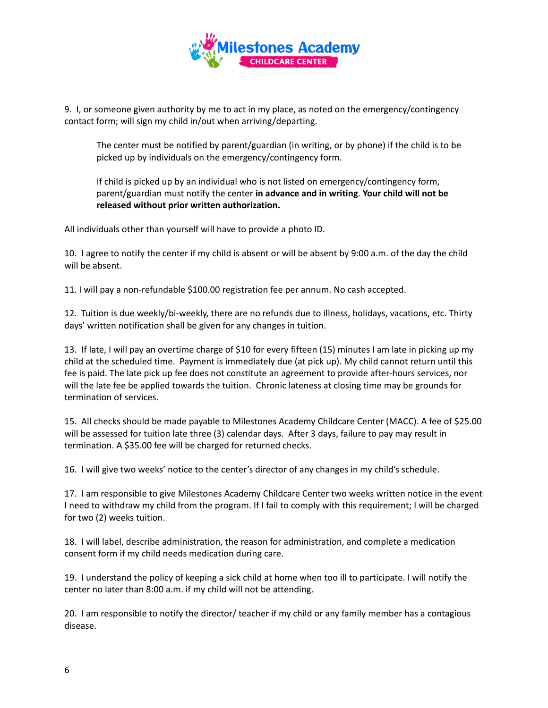

9. I, or someone given authority by me to act in my place, as noted on the emergency/contingency contact form; will sign my child in/out when arriving/departing.

The center must be notified by parent/guardian (in writing, or by phone) if the child is to be picked up by individuals on the emergency/contingency form.

If child is picked up by an individual who is not listed on emergency/contingency form, parent/guardian must notify the center **in advance and in writing**. **Your child will not be released without prior written authorization.**

All individuals other than yourself will have to provide a photo ID.

10. I agree to notify the center if my child is absent or will be absent by 9:00 a.m. of the day the child will be absent.

11. I will pay a non-refundable \$100.00 registration fee per annum. No cash accepted.

12. Tuition is due weekly/bi-weekly, there are no refunds due to illness, holidays, vacations, etc. Thirty days' written notification shall be given for any changes in tuition.

13. If late, I will pay an overtime charge of \$10 for every fifteen (15) minutes I am late in picking up my child at the scheduled time. Payment is immediately due (at pick up). My child cannot return until this fee is paid. The late pick up fee does not constitute an agreement to provide after-hours services, nor will the late fee be applied towards the tuition. Chronic lateness at closing time may be grounds for termination of services.

15. All checks should be made payable to Milestones Academy Childcare Center (MACC). A fee of \$25.00 will be assessed for tuition late three (3) calendar days. After 3 days, failure to pay may result in termination. A \$35.00 fee will be charged for returned checks.

16. I will give two weeks' notice to the center's director of any changes in my child's schedule.

17. I am responsible to give Milestones Academy Childcare Center two weeks written notice in the event I need to withdraw my child from the program. If I fail to comply with this requirement; I will be charged for two (2) weeks tuition.

18. I will label, describe administration, the reason for administration, and complete a medication consent form if my child needs medication during care.

19. I understand the policy of keeping a sick child at home when too ill to participate. I will notify the center no later than 8:00 a.m. if my child will not be attending.

20. I am responsible to notify the director/ teacher if my child or any family member has a contagious disease.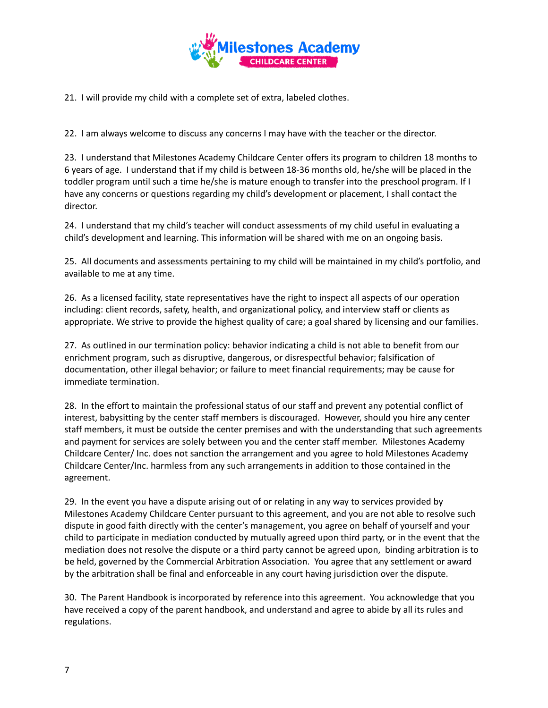

21. I will provide my child with a complete set of extra, labeled clothes.

22. I am always welcome to discuss any concerns I may have with the teacher or the director.

23. I understand that Milestones Academy Childcare Center offers its program to children 18 months to 6 years of age. I understand that if my child is between 18-36 months old, he/she will be placed in the toddler program until such a time he/she is mature enough to transfer into the preschool program. If I have any concerns or questions regarding my child's development or placement, I shall contact the director.

24. I understand that my child's teacher will conduct assessments of my child useful in evaluating a child's development and learning. This information will be shared with me on an ongoing basis.

25. All documents and assessments pertaining to my child will be maintained in my child's portfolio, and available to me at any time.

26. As a licensed facility, state representatives have the right to inspect all aspects of our operation including: client records, safety, health, and organizational policy, and interview staff or clients as appropriate. We strive to provide the highest quality of care; a goal shared by licensing and our families.

27. As outlined in our termination policy: behavior indicating a child is not able to benefit from our enrichment program, such as disruptive, dangerous, or disrespectful behavior; falsification of documentation, other illegal behavior; or failure to meet financial requirements; may be cause for immediate termination.

28. In the effort to maintain the professional status of our staff and prevent any potential conflict of interest, babysitting by the center staff members is discouraged. However, should you hire any center staff members, it must be outside the center premises and with the understanding that such agreements and payment for services are solely between you and the center staff member. Milestones Academy Childcare Center/ Inc. does not sanction the arrangement and you agree to hold Milestones Academy Childcare Center/Inc. harmless from any such arrangements in addition to those contained in the agreement.

29. In the event you have a dispute arising out of or relating in any way to services provided by Milestones Academy Childcare Center pursuant to this agreement, and you are not able to resolve such dispute in good faith directly with the center's management, you agree on behalf of yourself and your child to participate in mediation conducted by mutually agreed upon third party, or in the event that the mediation does not resolve the dispute or a third party cannot be agreed upon, binding arbitration is to be held, governed by the Commercial Arbitration Association. You agree that any settlement or award by the arbitration shall be final and enforceable in any court having jurisdiction over the dispute.

30. The Parent Handbook is incorporated by reference into this agreement. You acknowledge that you have received a copy of the parent handbook, and understand and agree to abide by all its rules and regulations.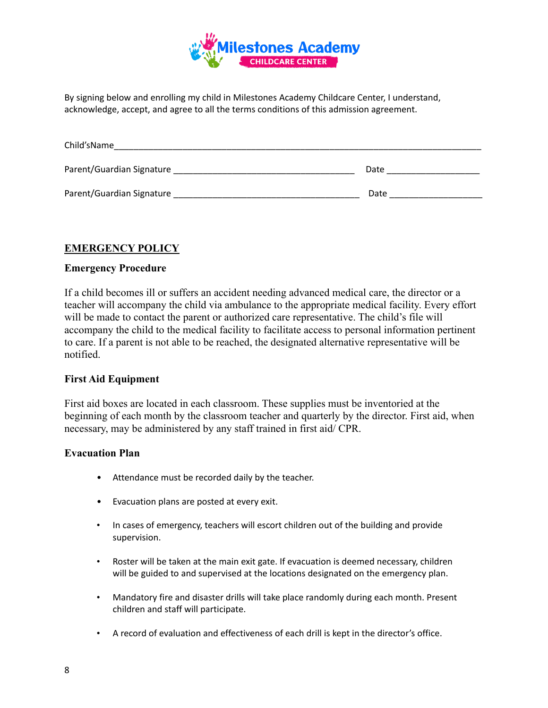

By signing below and enrolling my child in Milestones Academy Childcare Center, I understand, acknowledge, accept, and agree to all the terms conditions of this admission agreement.

| Child'sName               |      |
|---------------------------|------|
| Parent/Guardian Signature | Date |
| Parent/Guardian Signature | Date |

## **EMERGENCY POLICY**

### **Emergency Procedure**

If a child becomes ill or suffers an accident needing advanced medical care, the director or a teacher will accompany the child via ambulance to the appropriate medical facility. Every effort will be made to contact the parent or authorized care representative. The child's file will accompany the child to the medical facility to facilitate access to personal information pertinent to care. If a parent is not able to be reached, the designated alternative representative will be notified.

### **First Aid Equipment**

First aid boxes are located in each classroom. These supplies must be inventoried at the beginning of each month by the classroom teacher and quarterly by the director. First aid, when necessary, may be administered by any staff trained in first aid/ CPR.

#### **Evacuation Plan**

- Attendance must be recorded daily by the teacher.
- Evacuation plans are posted at every exit.
- In cases of emergency, teachers will escort children out of the building and provide supervision.
- Roster will be taken at the main exit gate. If evacuation is deemed necessary, children will be guided to and supervised at the locations designated on the emergency plan.
- Mandatory fire and disaster drills will take place randomly during each month. Present children and staff will participate.
- A record of evaluation and effectiveness of each drill is kept in the director's office.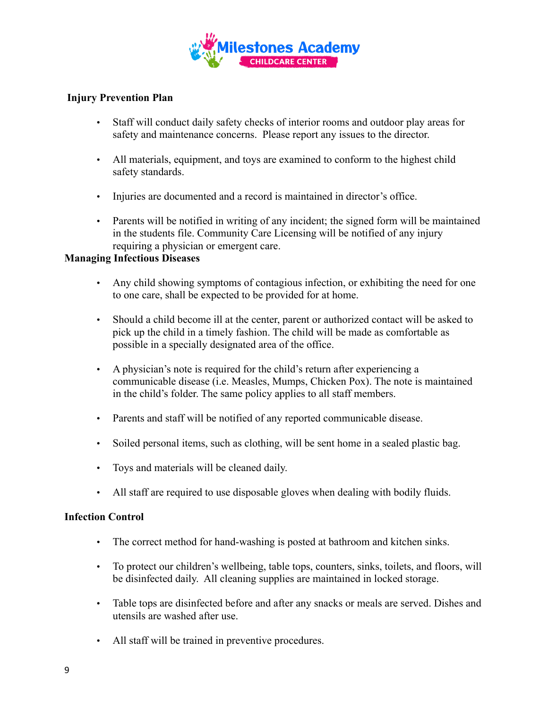

## **Injury Prevention Plan**

- Staff will conduct daily safety checks of interior rooms and outdoor play areas for safety and maintenance concerns. Please report any issues to the director.
- All materials, equipment, and toys are examined to conform to the highest child safety standards.
- Injuries are documented and a record is maintained in director's office.
- Parents will be notified in writing of any incident; the signed form will be maintained in the students file. Community Care Licensing will be notified of any injury requiring a physician or emergent care.

### **Managing Infectious Diseases**

- Any child showing symptoms of contagious infection, or exhibiting the need for one to one care, shall be expected to be provided for at home.
- Should a child become ill at the center, parent or authorized contact will be asked to pick up the child in a timely fashion. The child will be made as comfortable as possible in a specially designated area of the office.
- A physician's note is required for the child's return after experiencing a communicable disease (i.e. Measles, Mumps, Chicken Pox). The note is maintained in the child's folder. The same policy applies to all staff members.
- Parents and staff will be notified of any reported communicable disease.
- Soiled personal items, such as clothing, will be sent home in a sealed plastic bag.
- Toys and materials will be cleaned daily.
- All staff are required to use disposable gloves when dealing with bodily fluids.

### **Infection Control**

- The correct method for hand-washing is posted at bathroom and kitchen sinks.
- To protect our children's wellbeing, table tops, counters, sinks, toilets, and floors, will be disinfected daily. All cleaning supplies are maintained in locked storage.
- Table tops are disinfected before and after any snacks or meals are served. Dishes and utensils are washed after use.
- All staff will be trained in preventive procedures.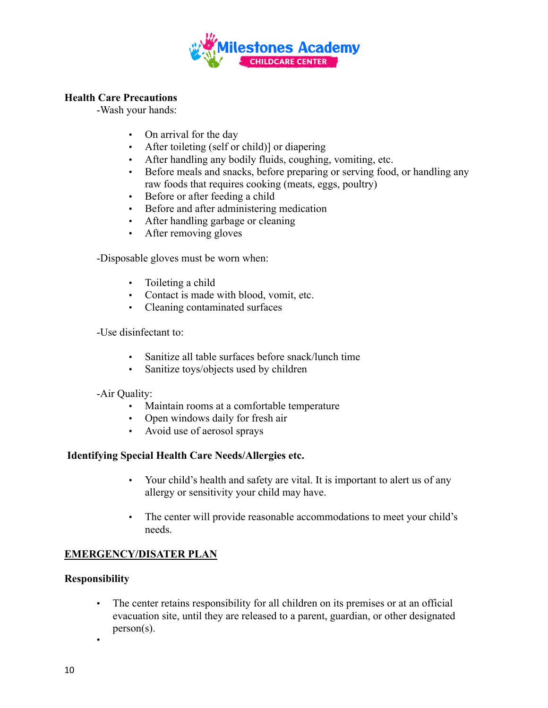

## **Health Care Precautions**

-Wash your hands:

- On arrival for the day
- After toileting (self or child)] or diapering
- After handling any bodily fluids, coughing, vomiting, etc.
- Before meals and snacks, before preparing or serving food, or handling any raw foods that requires cooking (meats, eggs, poultry)
- Before or after feeding a child
- Before and after administering medication
- After handling garbage or cleaning
- After removing gloves

-Disposable gloves must be worn when:

- Toileting a child
- Contact is made with blood, vomit, etc.
- Cleaning contaminated surfaces

-Use disinfectant to:

- Sanitize all table surfaces before snack/lunch time
- Sanitize toys/objects used by children

### -Air Quality:

- Maintain rooms at a comfortable temperature
- Open windows daily for fresh air
- Avoid use of aerosol sprays

### **Identifying Special Health Care Needs/Allergies etc.**

- Your child's health and safety are vital. It is important to alert us of any allergy or sensitivity your child may have.
- The center will provide reasonable accommodations to meet your child's needs.

## **EMERGENCY/DISATER PLAN**

### **Responsibility**

- The center retains responsibility for all children on its premises or at an official evacuation site, until they are released to a parent, guardian, or other designated person(s).
- •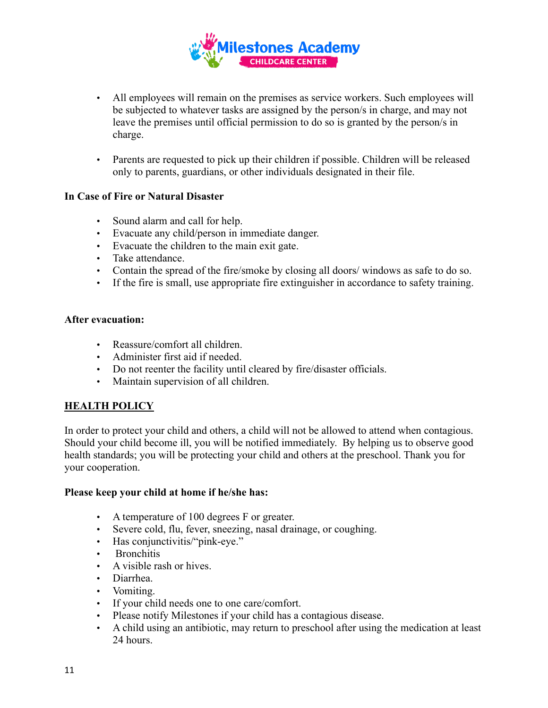

- All employees will remain on the premises as service workers. Such employees will be subjected to whatever tasks are assigned by the person/s in charge, and may not leave the premises until official permission to do so is granted by the person/s in charge.
- Parents are requested to pick up their children if possible. Children will be released only to parents, guardians, or other individuals designated in their file.

### **In Case of Fire or Natural Disaster**

- Sound alarm and call for help.
- Evacuate any child/person in immediate danger.
- Evacuate the children to the main exit gate.
- Take attendance.
- Contain the spread of the fire/smoke by closing all doors/ windows as safe to do so.
- If the fire is small, use appropriate fire extinguisher in accordance to safety training.

### **After evacuation:**

- Reassure/comfort all children.
- Administer first aid if needed.
- Do not reenter the facility until cleared by fire/disaster officials.
- Maintain supervision of all children.

## **HEALTH POLICY**

In order to protect your child and others, a child will not be allowed to attend when contagious. Should your child become ill, you will be notified immediately. By helping us to observe good health standards; you will be protecting your child and others at the preschool. Thank you for your cooperation.

### **Please keep your child at home if he/she has:**

- A temperature of 100 degrees F or greater.
- Severe cold, flu, fever, sneezing, nasal drainage, or coughing.
- Has conjunctivitis/"pink-eye."
- Bronchitis
- A visible rash or hives.
- Diarrhea.
- Vomiting.
- If your child needs one to one care/comfort.
- Please notify Milestones if your child has a contagious disease.
- A child using an antibiotic, may return to preschool after using the medication at least 24 hours.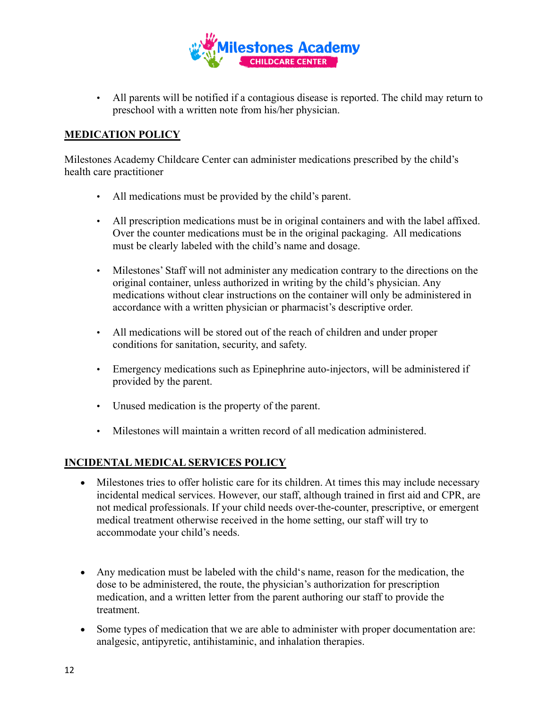

• All parents will be notified if a contagious disease is reported. The child may return to preschool with a written note from his/her physician.

## **MEDICATION POLICY**

Milestones Academy Childcare Center can administer medications prescribed by the child's health care practitioner

- All medications must be provided by the child's parent.
- All prescription medications must be in original containers and with the label affixed. Over the counter medications must be in the original packaging. All medications must be clearly labeled with the child's name and dosage.
- Milestones' Staff will not administer any medication contrary to the directions on the original container, unless authorized in writing by the child's physician. Any medications without clear instructions on the container will only be administered in accordance with a written physician or pharmacist's descriptive order.
- All medications will be stored out of the reach of children and under proper conditions for sanitation, security, and safety.
- Emergency medications such as Epinephrine auto-injectors, will be administered if provided by the parent.
- Unused medication is the property of the parent.
- Milestones will maintain a written record of all medication administered.

## **INCIDENTAL MEDICAL SERVICES POLICY**

- Milestones tries to offer holistic care for its children. At times this may include necessary incidental medical services. However, our staff, although trained in first aid and CPR, are not medical professionals. If your child needs over-the-counter, prescriptive, or emergent medical treatment otherwise received in the home setting, our staff will try to accommodate your child's needs.
- Any medication must be labeled with the child's name, reason for the medication, the dose to be administered, the route, the physician's authorization for prescription medication, and a written letter from the parent authoring our staff to provide the treatment.
- Some types of medication that we are able to administer with proper documentation are: analgesic, antipyretic, antihistaminic, and inhalation therapies.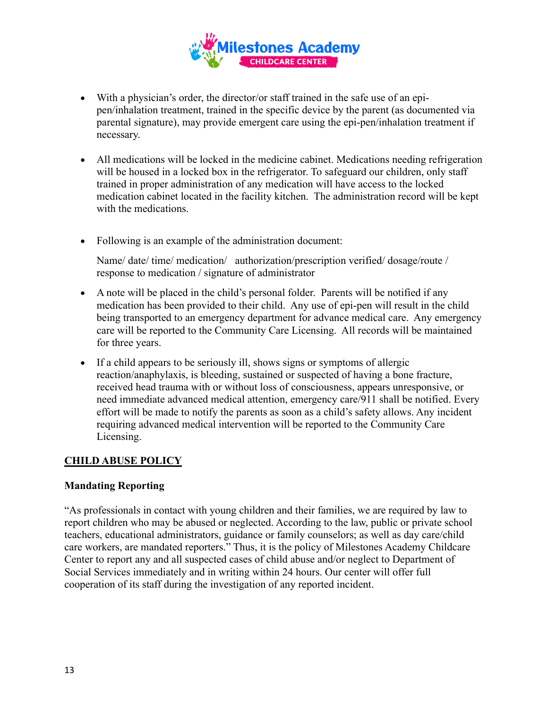

- With a physician's order, the director/or staff trained in the safe use of an epipen/inhalation treatment, trained in the specific device by the parent (as documented via parental signature), may provide emergent care using the epi-pen/inhalation treatment if necessary.
- All medications will be locked in the medicine cabinet. Medications needing refrigeration will be housed in a locked box in the refrigerator. To safeguard our children, only staff trained in proper administration of any medication will have access to the locked medication cabinet located in the facility kitchen. The administration record will be kept with the medications.
- Following is an example of the administration document:

Name/ date/ time/ medication/ authorization/prescription verified/ dosage/route / response to medication / signature of administrator

- A note will be placed in the child's personal folder. Parents will be notified if any medication has been provided to their child. Any use of epi-pen will result in the child being transported to an emergency department for advance medical care. Any emergency care will be reported to the Community Care Licensing. All records will be maintained for three years.
- If a child appears to be seriously ill, shows signs or symptoms of allergic reaction/anaphylaxis, is bleeding, sustained or suspected of having a bone fracture, received head trauma with or without loss of consciousness, appears unresponsive, or need immediate advanced medical attention, emergency care/911 shall be notified. Every effort will be made to notify the parents as soon as a child's safety allows. Any incident requiring advanced medical intervention will be reported to the Community Care Licensing.

## **CHILD ABUSE POLICY**

## **Mandating Reporting**

"As professionals in contact with young children and their families, we are required by law to report children who may be abused or neglected. According to the law, public or private school teachers, educational administrators, guidance or family counselors; as well as day care/child care workers, are mandated reporters." Thus, it is the policy of Milestones Academy Childcare Center to report any and all suspected cases of child abuse and/or neglect to Department of Social Services immediately and in writing within 24 hours. Our center will offer full cooperation of its staff during the investigation of any reported incident.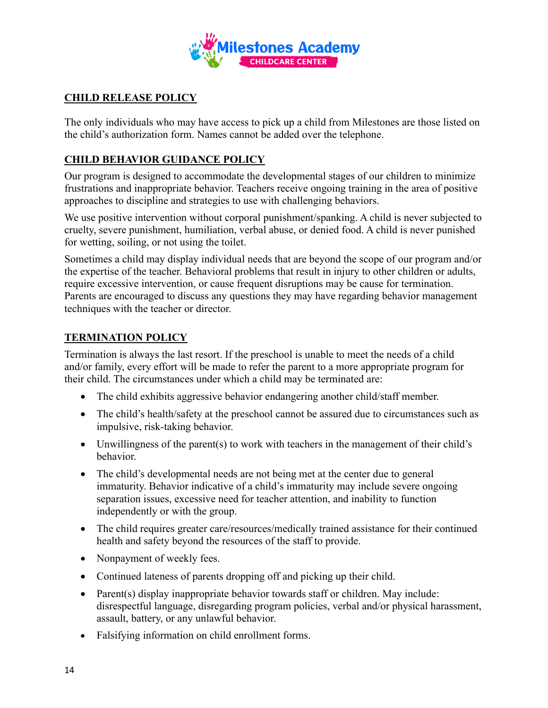

# **CHILD RELEASE POLICY**

The only individuals who may have access to pick up a child from Milestones are those listed on the child's authorization form. Names cannot be added over the telephone.

# **CHILD BEHAVIOR GUIDANCE POLICY**

Our program is designed to accommodate the developmental stages of our children to minimize frustrations and inappropriate behavior. Teachers receive ongoing training in the area of positive approaches to discipline and strategies to use with challenging behaviors.

We use positive intervention without corporal punishment/spanking. A child is never subjected to cruelty, severe punishment, humiliation, verbal abuse, or denied food. A child is never punished for wetting, soiling, or not using the toilet.

Sometimes a child may display individual needs that are beyond the scope of our program and/or the expertise of the teacher. Behavioral problems that result in injury to other children or adults, require excessive intervention, or cause frequent disruptions may be cause for termination. Parents are encouraged to discuss any questions they may have regarding behavior management techniques with the teacher or director.

# **TERMINATION POLICY**

Termination is always the last resort. If the preschool is unable to meet the needs of a child and/or family, every effort will be made to refer the parent to a more appropriate program for their child. The circumstances under which a child may be terminated are:

- The child exhibits aggressive behavior endangering another child/staff member.
- The child's health/safety at the preschool cannot be assured due to circumstances such as impulsive, risk-taking behavior.
- Unwillingness of the parent(s) to work with teachers in the management of their child's behavior.
- The child's developmental needs are not being met at the center due to general immaturity. Behavior indicative of a child's immaturity may include severe ongoing separation issues, excessive need for teacher attention, and inability to function independently or with the group.
- The child requires greater care/resources/medically trained assistance for their continued health and safety beyond the resources of the staff to provide.
- Nonpayment of weekly fees.
- Continued lateness of parents dropping off and picking up their child.
- Parent(s) display inappropriate behavior towards staff or children. May include: disrespectful language, disregarding program policies, verbal and/or physical harassment, assault, battery, or any unlawful behavior.
- Falsifying information on child enrollment forms.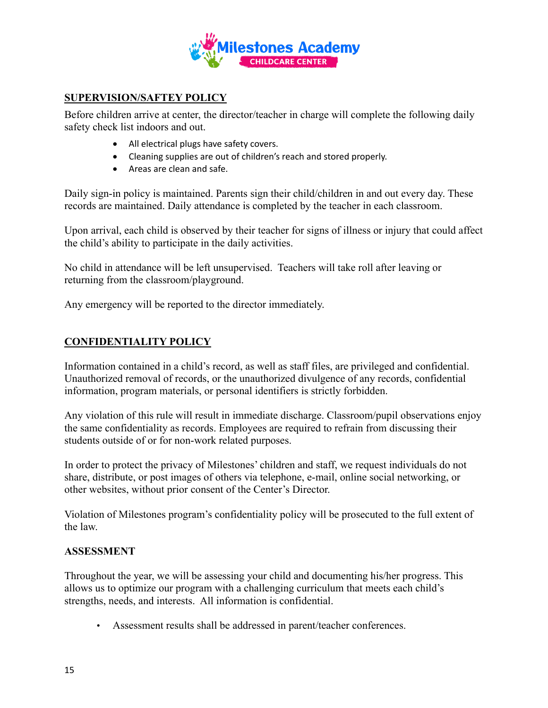

# **SUPERVISION/SAFTEY POLICY**

Before children arrive at center, the director/teacher in charge will complete the following daily safety check list indoors and out.

- All electrical plugs have safety covers.
- Cleaning supplies are out of children's reach and stored properly.
- Areas are clean and safe.

Daily sign-in policy is maintained. Parents sign their child/children in and out every day. These records are maintained. Daily attendance is completed by the teacher in each classroom.

Upon arrival, each child is observed by their teacher for signs of illness or injury that could affect the child's ability to participate in the daily activities.

No child in attendance will be left unsupervised. Teachers will take roll after leaving or returning from the classroom/playground.

Any emergency will be reported to the director immediately.

# **CONFIDENTIALITY POLICY**

Information contained in a child's record, as well as staff files, are privileged and confidential. Unauthorized removal of records, or the unauthorized divulgence of any records, confidential information, program materials, or personal identifiers is strictly forbidden.

Any violation of this rule will result in immediate discharge. Classroom/pupil observations enjoy the same confidentiality as records. Employees are required to refrain from discussing their students outside of or for non-work related purposes.

In order to protect the privacy of Milestones' children and staff, we request individuals do not share, distribute, or post images of others via telephone, e-mail, online social networking, or other websites, without prior consent of the Center's Director.

Violation of Milestones program's confidentiality policy will be prosecuted to the full extent of the law.

### **ASSESSMENT**

Throughout the year, we will be assessing your child and documenting his/her progress. This allows us to optimize our program with a challenging curriculum that meets each child's strengths, needs, and interests. All information is confidential.

• Assessment results shall be addressed in parent/teacher conferences.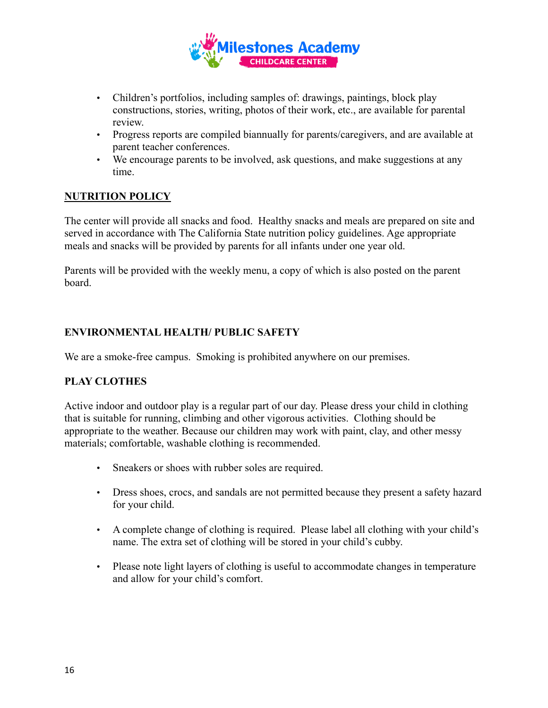

- Children's portfolios, including samples of: drawings, paintings, block play constructions, stories, writing, photos of their work, etc., are available for parental review.
- Progress reports are compiled biannually for parents/caregivers, and are available at parent teacher conferences.
- We encourage parents to be involved, ask questions, and make suggestions at any time.

# **NUTRITION POLICY**

The center will provide all snacks and food. Healthy snacks and meals are prepared on site and served in accordance with The California State nutrition policy guidelines. Age appropriate meals and snacks will be provided by parents for all infants under one year old.

Parents will be provided with the weekly menu, a copy of which is also posted on the parent board.

# **ENVIRONMENTAL HEALTH/ PUBLIC SAFETY**

We are a smoke-free campus. Smoking is prohibited anywhere on our premises.

## **PLAY CLOTHES**

Active indoor and outdoor play is a regular part of our day. Please dress your child in clothing that is suitable for running, climbing and other vigorous activities. Clothing should be appropriate to the weather. Because our children may work with paint, clay, and other messy materials; comfortable, washable clothing is recommended.

- Sneakers or shoes with rubber soles are required.
- Dress shoes, crocs, and sandals are not permitted because they present a safety hazard for your child.
- A complete change of clothing is required. Please label all clothing with your child's name. The extra set of clothing will be stored in your child's cubby.
- Please note light layers of clothing is useful to accommodate changes in temperature and allow for your child's comfort.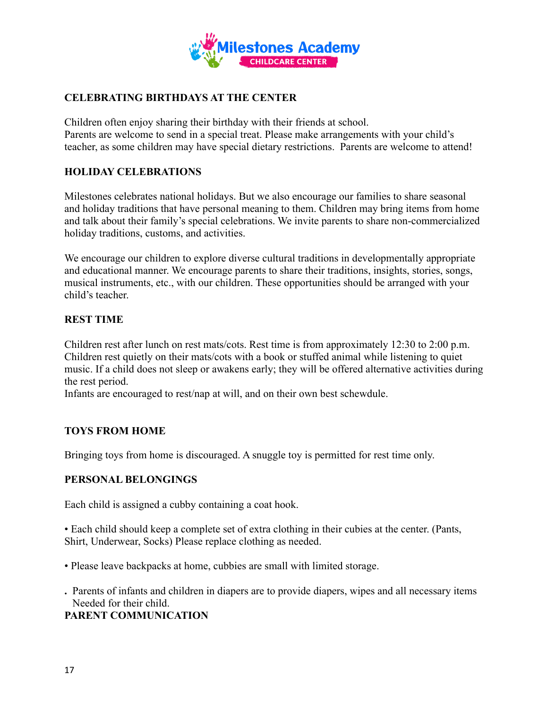

# **CELEBRATING BIRTHDAYS AT THE CENTER**

Children often enjoy sharing their birthday with their friends at school. Parents are welcome to send in a special treat. Please make arrangements with your child's teacher, as some children may have special dietary restrictions. Parents are welcome to attend!

## **HOLIDAY CELEBRATIONS**

Milestones celebrates national holidays. But we also encourage our families to share seasonal and holiday traditions that have personal meaning to them. Children may bring items from home and talk about their family's special celebrations. We invite parents to share non-commercialized holiday traditions, customs, and activities.

We encourage our children to explore diverse cultural traditions in developmentally appropriate and educational manner. We encourage parents to share their traditions, insights, stories, songs, musical instruments, etc., with our children. These opportunities should be arranged with your child's teacher.

## **REST TIME**

Children rest after lunch on rest mats/cots. Rest time is from approximately 12:30 to 2:00 p.m. Children rest quietly on their mats/cots with a book or stuffed animal while listening to quiet music. If a child does not sleep or awakens early; they will be offered alternative activities during the rest period.

Infants are encouraged to rest/nap at will, and on their own best schewdule.

### **TOYS FROM HOME**

Bringing toys from home is discouraged. A snuggle toy is permitted for rest time only.

### **PERSONAL BELONGINGS**

Each child is assigned a cubby containing a coat hook.

• Each child should keep a complete set of extra clothing in their cubies at the center. (Pants, Shirt, Underwear, Socks) Please replace clothing as needed.

• Please leave backpacks at home, cubbies are small with limited storage.

**.** Parents of infants and children in diapers are to provide diapers, wipes and all necessary items Needed for their child.

### **PARENT COMMUNICATION**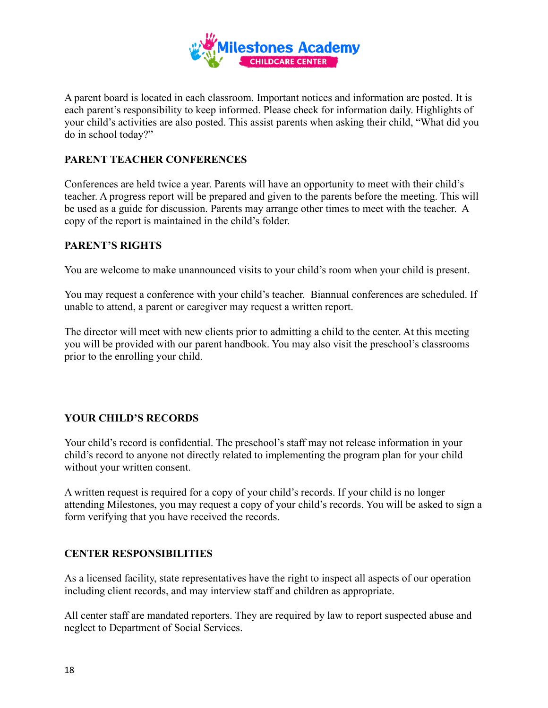

A parent board is located in each classroom. Important notices and information are posted. It is each parent's responsibility to keep informed. Please check for information daily. Highlights of your child's activities are also posted. This assist parents when asking their child, "What did you do in school today?"

## **PARENT TEACHER CONFERENCES**

Conferences are held twice a year. Parents will have an opportunity to meet with their child's teacher. A progress report will be prepared and given to the parents before the meeting. This will be used as a guide for discussion. Parents may arrange other times to meet with the teacher. A copy of the report is maintained in the child's folder.

## **PARENT'S RIGHTS**

You are welcome to make unannounced visits to your child's room when your child is present.

You may request a conference with your child's teacher. Biannual conferences are scheduled. If unable to attend, a parent or caregiver may request a written report.

The director will meet with new clients prior to admitting a child to the center. At this meeting you will be provided with our parent handbook. You may also visit the preschool's classrooms prior to the enrolling your child.

## **YOUR CHILD'S RECORDS**

Your child's record is confidential. The preschool's staff may not release information in your child's record to anyone not directly related to implementing the program plan for your child without your written consent.

A written request is required for a copy of your child's records. If your child is no longer attending Milestones, you may request a copy of your child's records. You will be asked to sign a form verifying that you have received the records.

## **CENTER RESPONSIBILITIES**

As a licensed facility, state representatives have the right to inspect all aspects of our operation including client records, and may interview staff and children as appropriate.

All center staff are mandated reporters. They are required by law to report suspected abuse and neglect to Department of Social Services.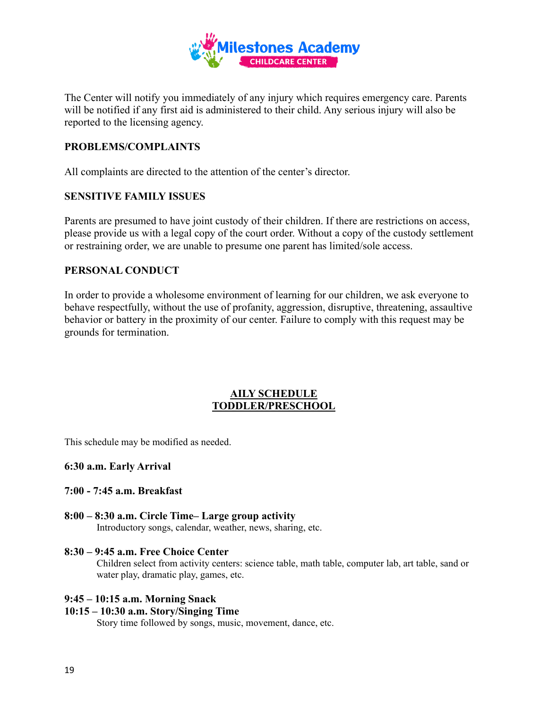

The Center will notify you immediately of any injury which requires emergency care. Parents will be notified if any first aid is administered to their child. Any serious injury will also be reported to the licensing agency.

## **PROBLEMS/COMPLAINTS**

All complaints are directed to the attention of the center's director.

### **SENSITIVE FAMILY ISSUES**

Parents are presumed to have joint custody of their children. If there are restrictions on access, please provide us with a legal copy of the court order. Without a copy of the custody settlement or restraining order, we are unable to presume one parent has limited/sole access.

### **PERSONAL CONDUCT**

In order to provide a wholesome environment of learning for our children, we ask everyone to behave respectfully, without the use of profanity, aggression, disruptive, threatening, assaultive behavior or battery in the proximity of our center. Failure to comply with this request may be grounds for termination.

### **AILY SCHEDULE TODDLER/PRESCHOOL**

This schedule may be modified as needed.

#### **6:30 a.m. Early Arrival**

#### **7:00 - 7:45 a.m. Breakfast**

**8:00 – 8:30 a.m. Circle Time– Large group activity** Introductory songs, calendar, weather, news, sharing, etc.

## **8:30 – 9:45 a.m. Free Choice Center**

Children select from activity centers: science table, math table, computer lab, art table, sand or water play, dramatic play, games, etc.

#### **9:45 – 10:15 a.m. Morning Snack**

### **10:15 – 10:30 a.m. Story/Singing Time**

Story time followed by songs, music, movement, dance, etc.